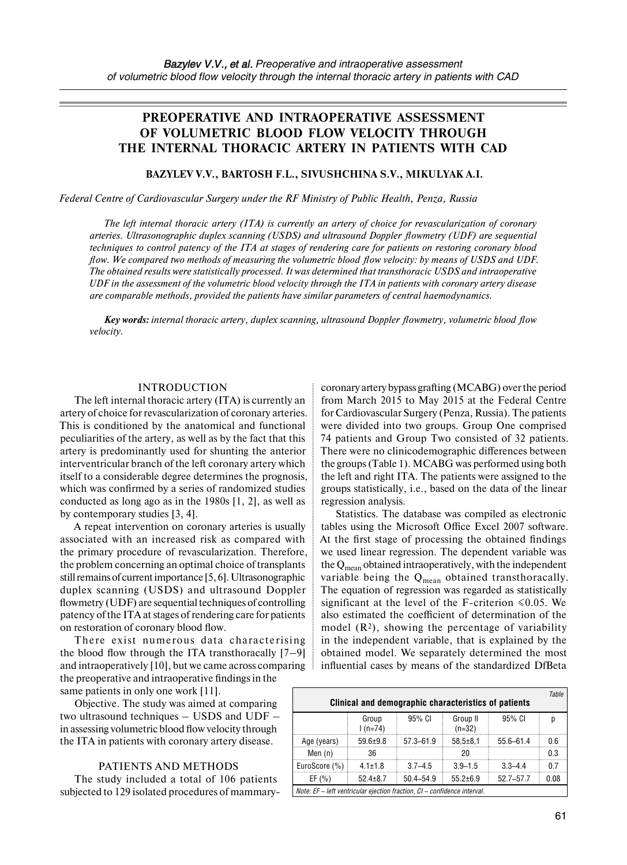# **PREOPERATIVE AND INTRAOPERATIVE ASSESSMENT OF VOLUMETRIC BLOOD FLOW VELOCITY THROUGH THE INTERNAL THORACIC ARTERY IN PATIENTS WITH CAD**

### **BAZYLEV V.V., BARTOSH F.L., SIVUSHCHINA S.V., MIKULYAK A.I.**

*Federal Centre of Cardiovascular Surgery under the RF Ministry of Public Health, Penza, Russia* 

*The left internal thoracic artery (ITA) is currently an artery of choice for revascularization of coronary arteries. Ultrasonographic duplex scanning (USDS) and ultrasound Doppler flowmetry (UDF) are sequential techniques to control patency of the ITA at stages of rendering care for patients on restoring coronary blood flow. We compared two methods of measuring the volumetric blood flow velocity: by means of USDS and UDF. The obtained results were statistically processed. It was determined that transthoracic USDS and intraoperative UDF in the assessment of the volumetric blood velocity through the ITA in patients with coronary artery disease are comparable methods, provided the patients have similar parameters of central haemodynamics.* 

*Key words: internal thoracic artery, duplex scanning, ultrasound Doppler flowmetry, volumetric blood flow velocity.*

#### INTRODUCTION

The left internal thoracic artery (ITA) is currently an artery of choice for revascularization of coronary arteries. This is conditioned by the anatomical and functional peculiarities of the artery, as well as by the fact that this artery is predominantly used for shunting the anterior interventricular branch of the left coronary artery which itself to a considerable degree determines the prognosis, which was confirmed by a series of randomized studies conducted as long ago as in the 1980s [1, 2], as well as by contemporary studies [3, 4].

A repeat intervention on coronary arteries is usually associated with an increased risk as compared with the primary procedure of revascularization. Therefore, the problem concerning an optimal choice of transplants still remains of current importance [5, 6]. Ultrasonographic duplex scanning (USDS) and ultrasound Doppler flowmetry (UDF) are sequential techniques of controlling patency of the ITA at stages of rendering care for patients on restoration of coronary blood flow.

There exist numerous data characterising the blood flow through the ITA transthoracally  $[7-9]$ and intraoperatively [10], but we came across comparing the preoperative and intraoperative findings in the same patients in only one work [11].

Objective. The study was aimed at comparing two ultrasound techniques – USDS and UDF – in assessing volumetric blood flow velocity through the ITA in patients with coronary artery disease.

#### PATIENTS AND METHODS

The study included a total of 106 patients subjected to 129 isolated procedures of mammary-

coronary artery bypass grafting (MCABG) over the period from March 2015 to May 2015 at the Federal Centre for Cardiovascular Surgery (Penza, Russia). The patients were divided into two groups. Group One comprised 74 patients and Group Two consisted of 32 patients. There were no clinicodemographic differences between the groups (Table 1). MCABG was performed using both the left and right ITA. The patients were assigned to the groups statistically, i.e., based on the data of the linear regression analysis.

Statistics. The database was compiled as electronic tables using the Microsoft Office Excel 2007 software. At the first stage of processing the obtained findings we used linear regression. The dependent variable was the  $Q_{mean}$  obtained intraoperatively, with the independent variable being the  $Q_{mean}$  obtained transthoracally. The equation of regression was regarded as statistically significant at the level of the F-criterion  $\leq 0.05$ . We also estimated the coefficient of determination of the model  $(R<sup>2</sup>)$ , showing the percentage of variability in the independent variable, that is explained by the obtained model. We separately determined the most influential cases by means of the standardized DfBeta

| Table<br>Clinical and demographic characteristics of patients            |                    |               |                      |               |      |
|--------------------------------------------------------------------------|--------------------|---------------|----------------------|---------------|------|
|                                                                          | Group<br>$1(n=74)$ | 95% CI        | Group II<br>$(n=32)$ | 95% CI        |      |
| Age (years)                                                              | $59.6 + 9.8$       | $57.3 - 61.9$ | $58.5 \pm 8.1$       | $55.6 - 61.4$ | 0.6  |
| Men $(n)$                                                                | 36                 |               |                      |               | 0.3  |
| EuroScore (%)                                                            | $4.1 + 1.8$        | $3.7 - 4.5$   | $3.9 - 1.5$          | $3,3-4,4$     | በ 7  |
| EF(%)                                                                    | $52.4 \pm 8.7$     | $50.4 - 54.9$ | $55.2 \pm 6.9$       | $52.7 - 57.7$ | 0.08 |
| Note: EF - left ventricular ejection fraction, CI - confidence interval. |                    |               |                      |               |      |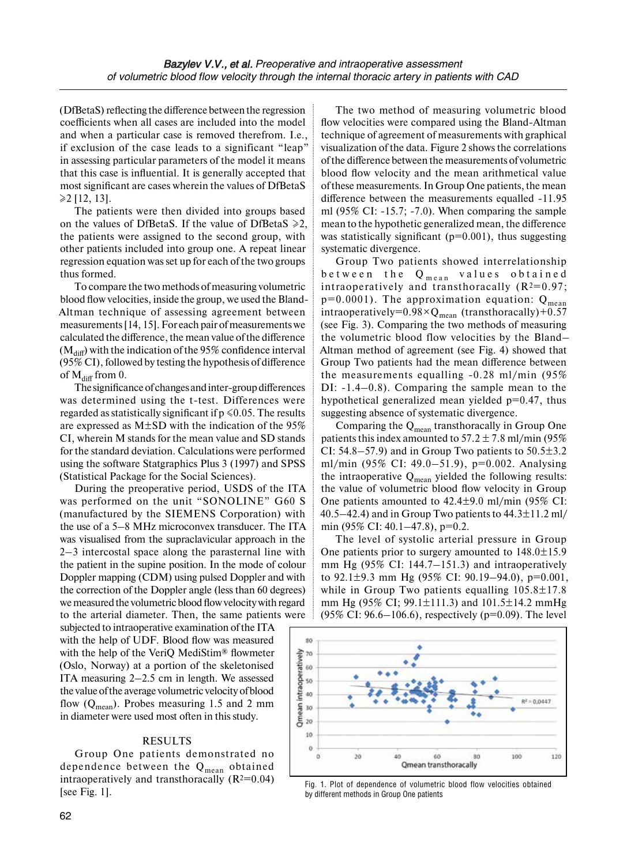(DfBetaS) reflecting the difference between the regression coefficients when all cases are included into the model and when a particular case is removed therefrom. I.e., if exclusion of the case leads to a significant "leap" in assessing particular parameters of the model it means that this case is influential. It is generally accepted that most significant are cases wherein the values of DfBetaS  $≥2$  [12, 13].

The patients were then divided into groups based on the values of DfBetaS. If the value of DfBetaS  $\ge 2$ , the patients were assigned to the second group, with other patients included into group one. A repeat linear regression equation was set up for each of the two groups thus formed.

To compare the two methods of measuring volumetric blood flow velocities, inside the group, we used the Bland-Altman technique of assessing agreement between measurements [14, 15]. For each pair of measurements we calculated the difference, the mean value of the difference  $(M<sub>diff</sub>)$  with the indication of the 95% confidence interval (95% CI), followed by testing the hypothesis of difference of  $M_{diff}$  from 0.

The significance of changes and inter-group differences was determined using the t-test. Differences were regarded as statistically significant if  $p \le 0.05$ . The results are expressed as M±SD with the indication of the 95% CI, wherein M stands for the mean value and SD stands for the standard deviation. Calculations were performed using the software Statgraphics Plus 3 (1997) and SPSS (Statistical Package for the Social Sciences).

During the preoperative period, USDS of the ITA was performed on the unit "SONOLINE" G60 S (manufactured by the SIEMENS Corporation) with the use of a 5–8 MHz microconvex transducer. The ITA was visualised from the supraclavicular approach in the 2–3 intercostal space along the parasternal line with the patient in the supine position. In the mode of colour Doppler mapping (CDM) using pulsed Doppler and with the correction of the Doppler angle (less than 60 degrees) we measured the volumetric blood flow velocity with regard to the arterial diameter. Then, the same patients were

subjected to intraoperative examination of the ITA with the help of UDF. Blood flow was measured with the help of the VeriQ MediStim® flowmeter (Oslo, Norway) at a portion of the skeletonised ITA measuring 2–2.5 cm in length. We assessed the value ofthe average volumetric velocity of blood flow  $(Q_{mean})$ . Probes measuring 1.5 and 2 mm in diameter were used most often in this study.

# RESULTS

Group One patients demonstrated no dependence between the  $Q_{mean}$  obtained intraoperatively and transthoracally  $(R^2=0.04)$ [see Fig. 1].

The two method of measuring volumetric blood flow velocities were compared using the Bland-Altman technique of agreement of measurements with graphical visualization of the data. Figure 2 shows the correlations of the difference between the measurements of volumetric blood flow velocity and the mean arithmetical value of these measurements. In Group One patients, the mean difference between the measurements equalled -11.95 ml (95% CI: -15.7; -7.0). When comparing the sample mean to the hypothetic generalized mean, the difference was statistically significant ( $p=0.001$ ), thus suggesting systematic divergence.

Group Two patients showed interrelationship between the  $Q_{mean}$  values obtained intraoperatively and transthoracally  $(R^2=0.97;$  $p=0.0001$ ). The approximation equation:  $Q_{mean}$ intraoperatively= $0.98 \times Q_{mean}$  (transthoracally)+0.57 (see Fig. 3). Comparing the two methods of measuring the volumetric blood flow velocities by the Bland– Altman method of agreement (see Fig. 4) showed that Group Two patients had the mean difference between the measurements equalling -0.28 ml/min (95% DI: -1.4–0.8). Comparing the sample mean to the hypothetical generalized mean yielded  $p=0.47$ , thus suggesting absence of systematic divergence.

Comparing the  $Q_{mean}$  transthoracally in Group One patients this index amounted to  $57.2 \pm 7.8$  ml/min (95%) CI: 54.8–57.9) and in Group Two patients to  $50.5 \pm 3.2$ ml/min (95% CI: 49.0–51.9), p=0.002. Analysing the intraoperative  $Q_{mean}$  yielded the following results: the value of volumetric blood flow velocity in Group One patients amounted to 42.4±9.0 ml/min (95% CI: 40.5–42.4) and in Group Two patients to  $44.3 \pm 11.2$  ml/ min (95% CI: 40.1–47.8), p=0.2.

The level of systolic arterial pressure in Group One patients prior to surgery amounted to 148.0±15.9 mm Hg (95% CI: 144.7–151.3) and intraoperatively to 92.1±9.3 mm Hg (95% CI: 90.19–94.0), p=0.001, while in Group Two patients equalling  $105.8 \pm 17.8$ mm Hg (95% CI; 99.1±111.3) and 101.5±14.2 mmHg (95% CI: 96.6–106.6), respectively (p=0.09). The level



Fig. 1. Plot of dependence of volumetric blood flow velocities obtained by different methods in Group One patients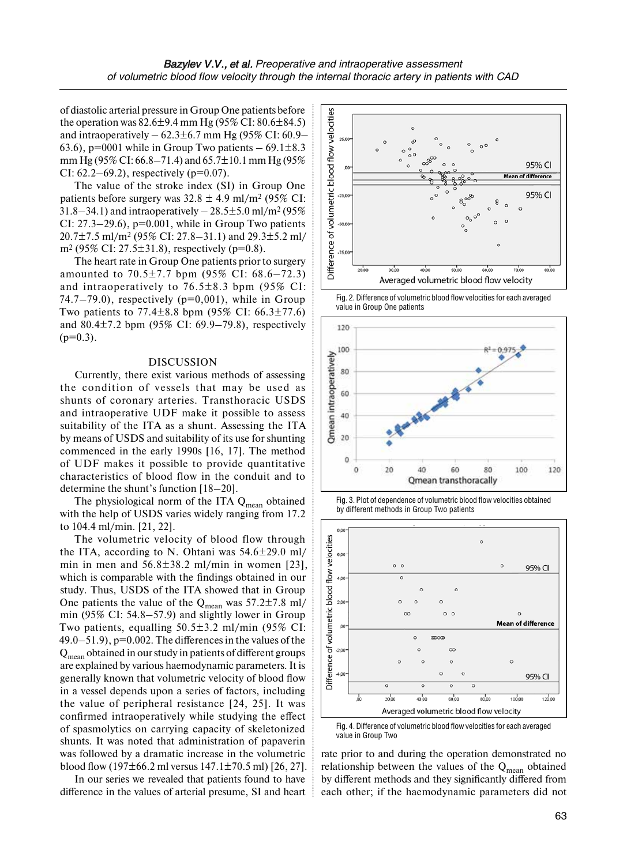of diastolic arterial pressure in Group One patients before the operation was  $82.6 \pm 9.4$  mm Hg (95% CI:  $80.6 \pm 84.5$ ) and intraoperatively  $-62.3\pm6.7$  mm Hg (95% CI: 60.9– 63.6), p=0001 while in Group Two patients  $-69.1 \pm 8.3$ mm Hg (95% CI: 66.8–71.4) and 65.7±10.1 mm Hg (95% CI:  $62.2 - 69.2$ , respectively ( $p=0.07$ ).

The value of the stroke index (SI) in Group One patients before surgery was  $32.8 \pm 4.9$  ml/m<sup>2</sup> (95% CI:  $31.8 - 34.1$ ) and intraoperatively  $- 28.5 \pm 5.0$  ml/m<sup>2</sup> (95%) CI:  $27.3-29.6$ ,  $p=0.001$ , while in Group Two patients 20.7±7.5 ml/m2 (95% CI: 27.8–31.1) and 29.3±5.2 ml/ m<sup>2</sup> (95% CI: 27.5 $\pm$ 31.8), respectively (p=0.8).

The heart rate in Group One patients prior to surgery amounted to  $70.5 \pm 7.7$  bpm  $(95\% \text{ CI: } 68.6 - 72.3)$ and intraoperatively to  $76.5\pm8.3$  bpm (95% CI: 74.7–79.0), respectively ( $p=0.001$ ), while in Group Two patients to  $77.4 \pm 8.8$  bpm (95% CI: 66.3 $\pm 77.6$ ) and  $80.4 \pm 7.2$  bpm (95% CI: 69.9–79.8), respectively  $(p=0.3)$ .

#### DISCUSSION

Currently, there exist various methods of assessing the condition of vessels that may be used as shunts of coronary arteries. Transthoracic USDS and intraoperative UDF make it possible to assess suitability of the ITA as a shunt. Assessing the ITA by means of USDS and suitability of its use for shunting commenced in the early 1990s [16, 17]. The method of UDF makes it possible to provide quantitative characteristics of blood flow in the conduit and to determine the shunt's function [18–20].

The physiological norm of the ITA  $Q_{mean}$  obtained with the help of USDS varies widely ranging from 17.2 to 104.4 ml/min. [21, 22].

The volumetric velocity of blood flow through the ITA, according to N. Ohtani was  $54.6 \pm 29.0$  ml/ min in men and  $56.8 \pm 38.2$  ml/min in women [23], which is comparable with the findings obtained in our study. Thus, USDS of the ITA showed that in Group One patients the value of the  $Q_{mean}$  was 57.2 $\pm$ 7.8 ml/ min (95% CI: 54.8–57.9) and slightly lower in Group Two patients, equalling 50.5±3.2 ml/min (95% CI: 49.0–51.9), p=0.002. The differences in the values of the  $Q_{mean}$  obtained in our study in patients of different groups are explained by various haemodynamic parameters. It is generally known that volumetric velocity of blood flow in a vessel depends upon a series of factors, including the value of peripheral resistance [24, 25]. It was confirmed intraoperatively while studying the effect of spasmolytics on carrying capacity of skeletonized shunts. It was noted that administration of papaverin was followed by a dramatic increase in the volumetric blood flow (197 $\pm$ 66.2 ml versus 147.1 $\pm$ 70.5 ml) [26, 27].

In our series we revealed that patients found to have difference in the values of arterial presume, SI and heart



Fig. 2. Difference of volumetric blood flow velocities for each averaged value in Group One patients







Fig. 4. Difference of volumetric blood flow velocities for each averaged value in Group Two

rate prior to and during the operation demonstrated no relationship between the values of the  $Q_{mean}$  obtained by different methods and they significantly differed from each other; if the haemodynamic parameters did not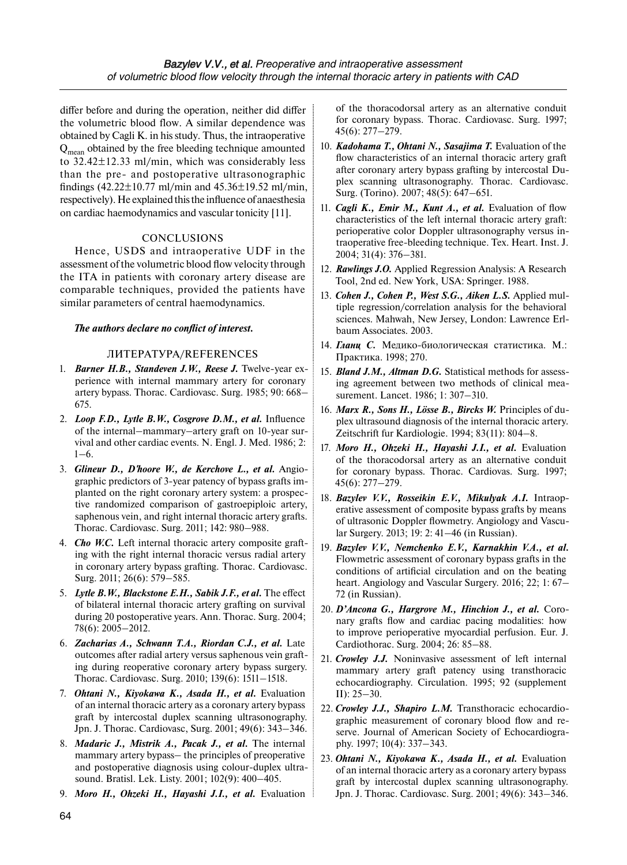differ before and during the operation, neither did differ the volumetric blood flow. A similar dependence was obtained by Cagli K. in his study. Thus, the intraoperative  $Q_{\text{mean}}$  obtained by the free bleeding technique amounted to 32.42±12.33 ml/min, which was considerably less than the pre- and postoperative ultrasonographic findings  $(42.22 \pm 10.77 \text{ ml/min}$  and  $45.36 \pm 19.52 \text{ ml/min}$ , respectively). He explained this the influence of anaesthesia on cardiac haemodynamics and vascular tonicity [11].

# **CONCLUSIONS**

Hence, USDS and intraoperative UDF in the assessment of the volumetric blood flow velocity through the ITA in patients with coronary artery disease are comparable techniques, provided the patients have similar parameters of central haemodynamics.

#### *The authors declare no conflict of interest.*

#### ЛИТЕРАТУРА/REFERENCES

- 1. *Barner H.B., Standeven J.W., Reese J.* Twelve-year experience with internal mammary artery for coronary artery bypass. Thorac. Cardiovasc. Surg. 1985; 90: 668– 675.
- 2. *Loop F.D., Lytle B.W., Cosgrove D.M., et al.* Influence of the internal–mammary–artery graft on 10-year survival and other cardiac events. N. Engl. J. Med. 1986; 2:  $1–6.$
- 3. *Glineur D., D'hoore W., de Kerchove L., et al.* Angiographic predictors of 3-year patency of bypass grafts implanted on the right coronary artery system: a prospective randomized comparison of gastroepiploic artery, saphenous vein, and right internal thoracic artery grafts. Thorac. Cardiovasc. Surg. 2011; 142: 980–988.
- 4. *Cho W.C.* Left internal thoracic artery composite grafting with the right internal thoracic versus radial artery in coronary artery bypass grafting. Thorac. Cardiovasc. Surg. 2011; 26(6): 579–585.
- 5. *Lytle B.W., Blackstone E.H., Sabik J.F., et al.* The effect of bilateral internal thoracic artery grafting on survival during 20 postoperative years. Ann. Thorac. Surg. 2004; 78(6): 2005–2012.
- 6. *Zacharias A., Schwann T.A., Riordan C.J., et al.* Late outcomes after radial artery versus saphenous vein grafting during reoperative coronary artery bypass surgery. Thorac. Cardiovasc. Surg. 2010; 139(6): 1511–1518.
- 7. *Ohtani N., Kiyokawa K., Asada H., et al.* Evaluation of an internal thoracic artery as a coronary artery bypass graft by intercostal duplex scanning ultrasonography. Jpn. J. Thorac. Cardiovasc, Surg. 2001; 49(6): 343–346.
- 8. *Madaric J., Mistrik A., Pacak J., et al.* The internal mammary artery bypass– the principles of preoperative and postoperative diagnosis using colour-duplex ultrasound. Bratisl. Lek. Listy. 2001; 102(9): 400–405.
- 9. *Moro H., Ohzeki H., Hayashi J.I., et al.* Evaluation

of the thoracodorsal artery as an alternative conduit for coronary bypass. Thorac. Cardiovasc. Surg. 1997; 45(6): 277–279.

- 10. *Kadohama T., Ohtani N., Sasajima T.* Evaluation of the flow characteristics of an internal thoracic artery graft after coronary artery bypass grafting by intercostal Duplex scanning ultrasonography. Thorac. Cardiovasc. Surg. (Torino). 2007; 48(5): 647–651.
- 11. *Cagli K., Emir M., Kunt A., et al.* Evaluation of flow characteristics of the left internal thoracic artery graft: perioperative color Doppler ultrasonography versus intraoperative free-bleeding technique. Tex. Heart. Inst. J. 2004; 31(4): 376–381.
- 12. *Rawlings J.O.* Applied Regression Analysis: A Research Tool, 2nd ed. New York, USA: Springer. 1988.
- 13. *Cohen J., Cohen P., West S.G., Aiken L.S.* Applied multiple regression/correlation analysis for the behavioral sciences. Mahwah, New Jersey, London: Lawrence Erlbaum Associates. 2003.
- 14. *Гланц С.* Медико-биологическая статистика. М.: Практика. 1998; 270.
- 15. *Bland J.M., Altman D.G.* Statistical methods for assessing agreement between two methods of clinical measurement. Lancet. 1986; 1: 307–310.
- 16. *Marx R., Sons H., Lösse B., Bircks W.* Principles of duplex ultrasound diagnosis of the internal thoracic artery. Zeitschrift fur Kardiologie. 1994; 83(11): 804–8.
- 17. *Moro H., Ohzeki H., Hayashi J.I., et al.* Evaluation of the thoracodorsal artery as an alternative conduit for coronary bypass. Thorac. Cardiovas. Surg. 1997; 45(6): 277–279.
- 18. *Bazylev V.V., Rosseikin E.V., Mikulyak A.I.* Intraoperative assessment of composite bypass grafts by means of ultrasonic Doppler flowmetry. Angiology and Vascular Surgery. 2013; 19: 2: 41–46 (in Russian).
- 19. *Bazylev V.V., Nemchenko E.V., Karnakhin V.A., et al.*  Flowmetric assessment of coronary bypass grafts in the conditions of artificial circulation and on the beating heart. Angiology and Vascular Surgery. 2016; 22; 1: 67– 72 (in Russian).
- 20. *D'Ancona G., Hargrove M., Hinchion J., et al.* Coronary grafts flow and cardiac pacing modalities: how to improve perioperative myocardial perfusion. Eur. J. Cardiothorac. Surg. 2004; 26: 85–88.
- 21. *Crowley J.J.* Noninvasive assessment of left internal mammary artery graft patency using transthoracic echocardiography. Circulation. 1995; 92 (supplement II): 25–30.
- 22. *Crowley J.J., Shapiro L.M.* Transthoracic echocardiographic measurement of coronary blood flow and reserve. Journal of American Society of Echocardiography. 1997; 10(4): 337–343.
- 23. Ohtani N., Kiyokawa K., Asada H., et al. Evaluation of an internal thoracic artery as a coronary artery bypass graft by intercostal duplex scanning ultrasonography. Jpn. J. Thorac. Cardiovasc. Surg. 2001; 49(6): 343–346.